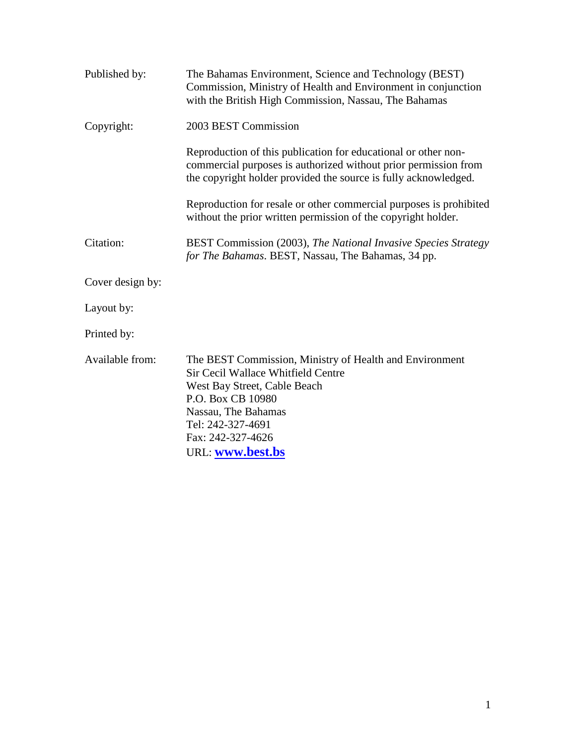| Published by:    | The Bahamas Environment, Science and Technology (BEST)<br>Commission, Ministry of Health and Environment in conjunction<br>with the British High Commission, Nassau, The Bahamas                                                        |
|------------------|-----------------------------------------------------------------------------------------------------------------------------------------------------------------------------------------------------------------------------------------|
| Copyright:       | 2003 BEST Commission                                                                                                                                                                                                                    |
|                  | Reproduction of this publication for educational or other non-<br>commercial purposes is authorized without prior permission from<br>the copyright holder provided the source is fully acknowledged.                                    |
|                  | Reproduction for resale or other commercial purposes is prohibited<br>without the prior written permission of the copyright holder.                                                                                                     |
| Citation:        | <b>BEST Commission (2003), The National Invasive Species Strategy</b><br>for The Bahamas. BEST, Nassau, The Bahamas, 34 pp.                                                                                                             |
| Cover design by: |                                                                                                                                                                                                                                         |
| Layout by:       |                                                                                                                                                                                                                                         |
| Printed by:      |                                                                                                                                                                                                                                         |
| Available from:  | The BEST Commission, Ministry of Health and Environment<br>Sir Cecil Wallace Whitfield Centre<br>West Bay Street, Cable Beach<br>P.O. Box CB 10980<br>Nassau, The Bahamas<br>Tel: 242-327-4691<br>Fax: 242-327-4626<br>URL: www.best.bs |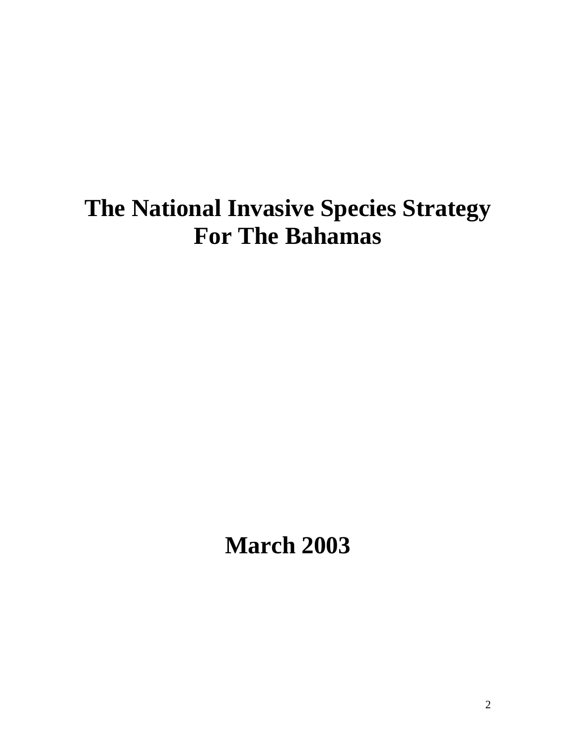# **The National Invasive Species Strategy For The Bahamas**

**March 2003**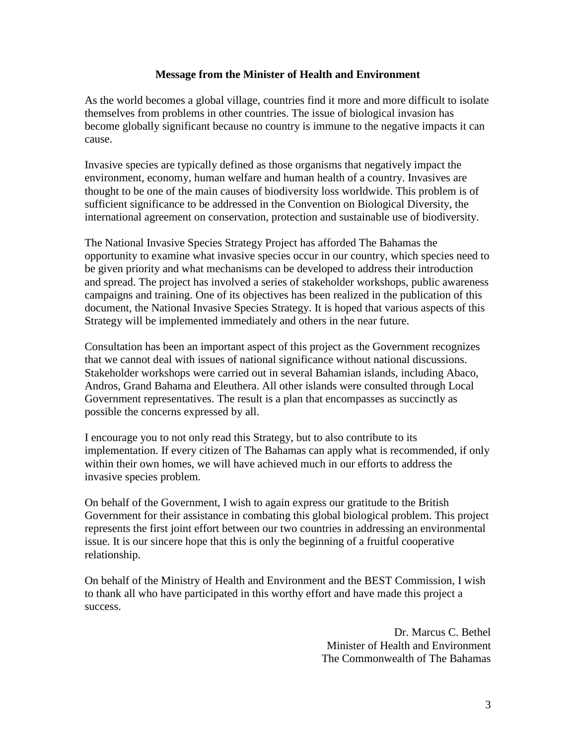#### **Message from the Minister of Health and Environment**

As the world becomes a global village, countries find it more and more difficult to isolate themselves from problems in other countries. The issue of biological invasion has become globally significant because no country is immune to the negative impacts it can cause.

Invasive species are typically defined as those organisms that negatively impact the environment, economy, human welfare and human health of a country. Invasives are thought to be one of the main causes of biodiversity loss worldwide. This problem is of sufficient significance to be addressed in the Convention on Biological Diversity, the international agreement on conservation, protection and sustainable use of biodiversity.

The National Invasive Species Strategy Project has afforded The Bahamas the opportunity to examine what invasive species occur in our country, which species need to be given priority and what mechanisms can be developed to address their introduction and spread. The project has involved a series of stakeholder workshops, public awareness campaigns and training. One of its objectives has been realized in the publication of this document, the National Invasive Species Strategy. It is hoped that various aspects of this Strategy will be implemented immediately and others in the near future.

Consultation has been an important aspect of this project as the Government recognizes that we cannot deal with issues of national significance without national discussions. Stakeholder workshops were carried out in several Bahamian islands, including Abaco, Andros, Grand Bahama and Eleuthera. All other islands were consulted through Local Government representatives. The result is a plan that encompasses as succinctly as possible the concerns expressed by all.

I encourage you to not only read this Strategy, but to also contribute to its implementation. If every citizen of The Bahamas can apply what is recommended, if only within their own homes, we will have achieved much in our efforts to address the invasive species problem.

On behalf of the Government, I wish to again express our gratitude to the British Government for their assistance in combating this global biological problem. This project represents the first joint effort between our two countries in addressing an environmental issue. It is our sincere hope that this is only the beginning of a fruitful cooperative relationship.

On behalf of the Ministry of Health and Environment and the BEST Commission, I wish to thank all who have participated in this worthy effort and have made this project a success.

> Dr. Marcus C. Bethel Minister of Health and Environment The Commonwealth of The Bahamas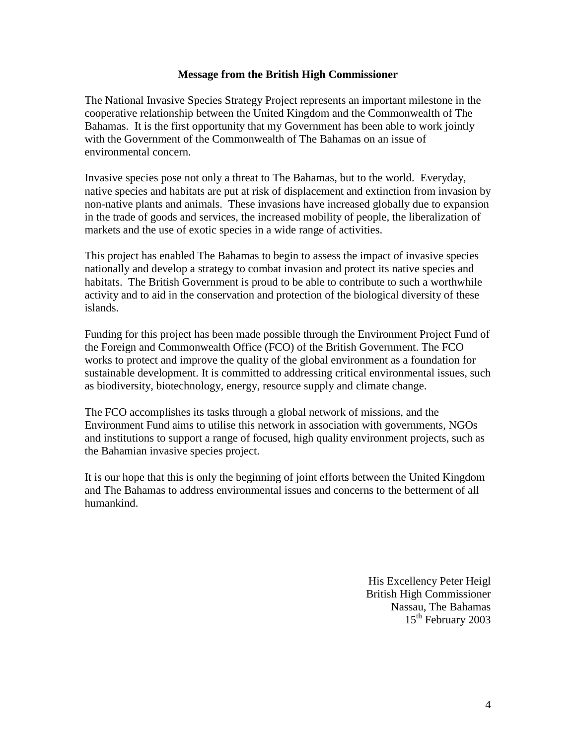#### **Message from the British High Commissioner**

The National Invasive Species Strategy Project represents an important milestone in the cooperative relationship between the United Kingdom and the Commonwealth of The Bahamas. It is the first opportunity that my Government has been able to work jointly with the Government of the Commonwealth of The Bahamas on an issue of environmental concern.

Invasive species pose not only a threat to The Bahamas, but to the world. Everyday, native species and habitats are put at risk of displacement and extinction from invasion by non-native plants and animals. These invasions have increased globally due to expansion in the trade of goods and services, the increased mobility of people, the liberalization of markets and the use of exotic species in a wide range of activities.

This project has enabled The Bahamas to begin to assess the impact of invasive species nationally and develop a strategy to combat invasion and protect its native species and habitats. The British Government is proud to be able to contribute to such a worthwhile activity and to aid in the conservation and protection of the biological diversity of these islands.

Funding for this project has been made possible through the Environment Project Fund of the Foreign and Commonwealth Office (FCO) of the British Government. The FCO works to protect and improve the quality of the global environment as a foundation for sustainable development. It is committed to addressing critical environmental issues, such as biodiversity, biotechnology, energy, resource supply and climate change.

The FCO accomplishes its tasks through a global network of missions, and the Environment Fund aims to utilise this network in association with governments, NGOs and institutions to support a range of focused, high quality environment projects, such as the Bahamian invasive species project.

It is our hope that this is only the beginning of joint efforts between the United Kingdom and The Bahamas to address environmental issues and concerns to the betterment of all humankind.

> His Excellency Peter Heigl British High Commissioner Nassau, The Bahamas 15<sup>th</sup> February 2003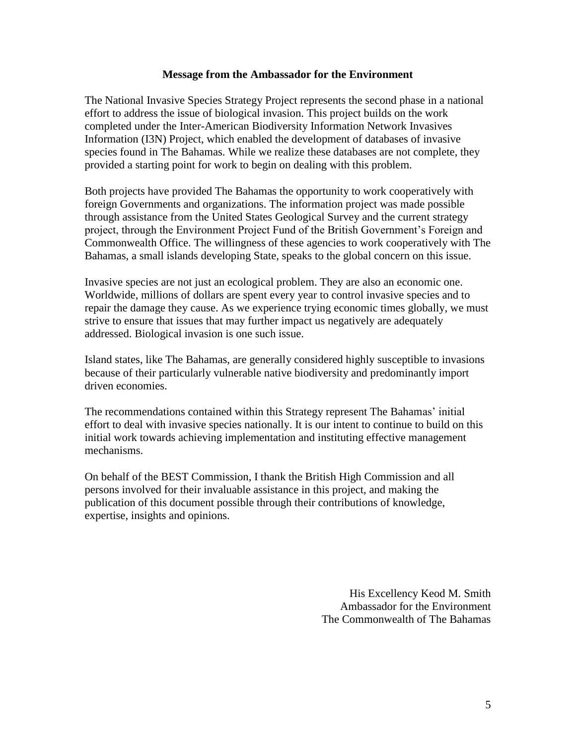#### **Message from the Ambassador for the Environment**

The National Invasive Species Strategy Project represents the second phase in a national effort to address the issue of biological invasion. This project builds on the work completed under the Inter-American Biodiversity Information Network Invasives Information (I3N) Project, which enabled the development of databases of invasive species found in The Bahamas. While we realize these databases are not complete, they provided a starting point for work to begin on dealing with this problem.

Both projects have provided The Bahamas the opportunity to work cooperatively with foreign Governments and organizations. The information project was made possible through assistance from the United States Geological Survey and the current strategy project, through the Environment Project Fund of the British Government's Foreign and Commonwealth Office. The willingness of these agencies to work cooperatively with The Bahamas, a small islands developing State, speaks to the global concern on this issue.

Invasive species are not just an ecological problem. They are also an economic one. Worldwide, millions of dollars are spent every year to control invasive species and to repair the damage they cause. As we experience trying economic times globally, we must strive to ensure that issues that may further impact us negatively are adequately addressed. Biological invasion is one such issue.

Island states, like The Bahamas, are generally considered highly susceptible to invasions because of their particularly vulnerable native biodiversity and predominantly import driven economies.

The recommendations contained within this Strategy represent The Bahamas' initial effort to deal with invasive species nationally. It is our intent to continue to build on this initial work towards achieving implementation and instituting effective management mechanisms.

On behalf of the BEST Commission, I thank the British High Commission and all persons involved for their invaluable assistance in this project, and making the publication of this document possible through their contributions of knowledge, expertise, insights and opinions.

> His Excellency Keod M. Smith Ambassador for the Environment The Commonwealth of The Bahamas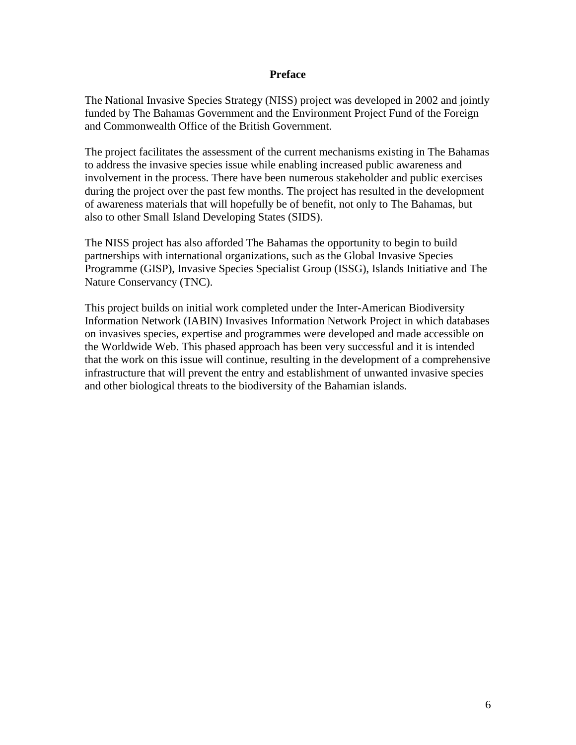#### **Preface**

The National Invasive Species Strategy (NISS) project was developed in 2002 and jointly funded by The Bahamas Government and the Environment Project Fund of the Foreign and Commonwealth Office of the British Government.

The project facilitates the assessment of the current mechanisms existing in The Bahamas to address the invasive species issue while enabling increased public awareness and involvement in the process. There have been numerous stakeholder and public exercises during the project over the past few months. The project has resulted in the development of awareness materials that will hopefully be of benefit, not only to The Bahamas, but also to other Small Island Developing States (SIDS).

The NISS project has also afforded The Bahamas the opportunity to begin to build partnerships with international organizations, such as the Global Invasive Species Programme (GISP), Invasive Species Specialist Group (ISSG), Islands Initiative and The Nature Conservancy (TNC).

This project builds on initial work completed under the Inter-American Biodiversity Information Network (IABIN) Invasives Information Network Project in which databases on invasives species, expertise and programmes were developed and made accessible on the Worldwide Web. This phased approach has been very successful and it is intended that the work on this issue will continue, resulting in the development of a comprehensive infrastructure that will prevent the entry and establishment of unwanted invasive species and other biological threats to the biodiversity of the Bahamian islands.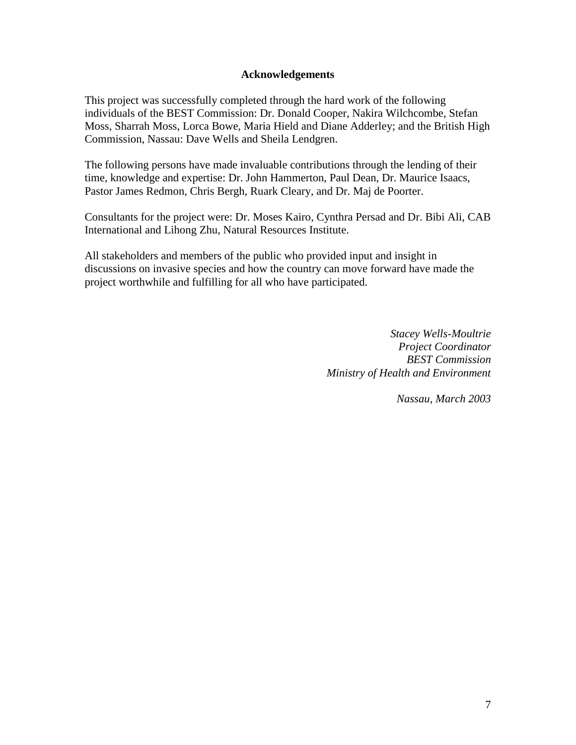#### **Acknowledgements**

This project was successfully completed through the hard work of the following individuals of the BEST Commission: Dr. Donald Cooper, Nakira Wilchcombe, Stefan Moss, Sharrah Moss, Lorca Bowe, Maria Hield and Diane Adderley; and the British High Commission, Nassau: Dave Wells and Sheila Lendgren.

The following persons have made invaluable contributions through the lending of their time, knowledge and expertise: Dr. John Hammerton, Paul Dean, Dr. Maurice Isaacs, Pastor James Redmon, Chris Bergh, Ruark Cleary, and Dr. Maj de Poorter.

Consultants for the project were: Dr. Moses Kairo, Cynthra Persad and Dr. Bibi Ali, CAB International and Lihong Zhu, Natural Resources Institute.

All stakeholders and members of the public who provided input and insight in discussions on invasive species and how the country can move forward have made the project worthwhile and fulfilling for all who have participated.

> *Stacey Wells-Moultrie Project Coordinator BEST Commission Ministry of Health and Environment*

> > *Nassau, March 2003*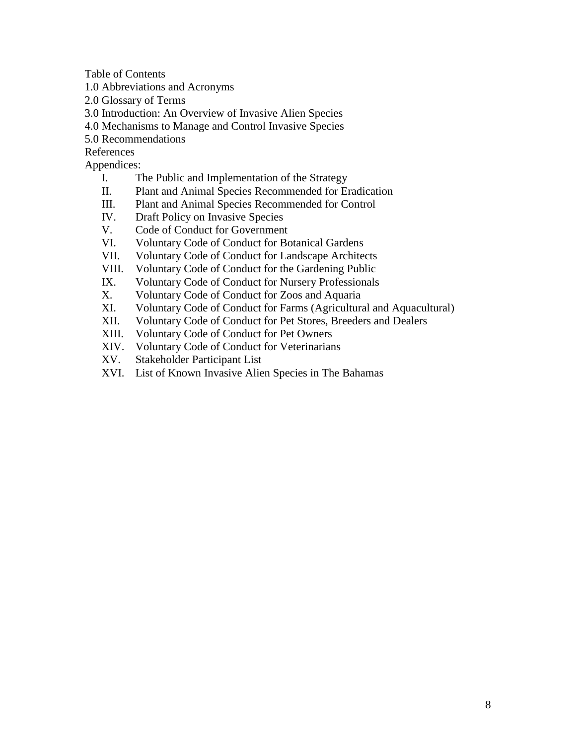Table of Contents

- 1.0 Abbreviations and Acronyms
- 2.0 Glossary of Terms
- 3.0 Introduction: An Overview of Invasive Alien Species
- 4.0 Mechanisms to Manage and Control Invasive Species
- 5.0 Recommendations
- References

Appendices:

- I. The Public and Implementation of the Strategy
- II. Plant and Animal Species Recommended for Eradication
- III. Plant and Animal Species Recommended for Control
- IV. Draft Policy on Invasive Species
- V. Code of Conduct for Government
- VI. Voluntary Code of Conduct for Botanical Gardens
- VII. Voluntary Code of Conduct for Landscape Architects
- VIII. Voluntary Code of Conduct for the Gardening Public
- IX. Voluntary Code of Conduct for Nursery Professionals
- X. Voluntary Code of Conduct for Zoos and Aquaria
- XI. Voluntary Code of Conduct for Farms (Agricultural and Aquacultural)
- XII. Voluntary Code of Conduct for Pet Stores, Breeders and Dealers
- XIII. Voluntary Code of Conduct for Pet Owners
- XIV. Voluntary Code of Conduct for Veterinarians
- XV. Stakeholder Participant List
- XVI. List of Known Invasive Alien Species in The Bahamas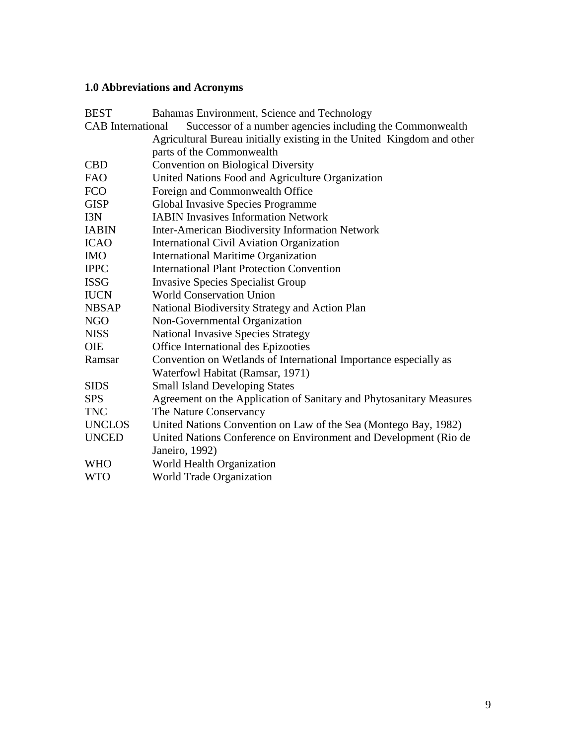# **1.0 Abbreviations and Acronyms**

| <b>BEST</b>                                                                           | Bahamas Environment, Science and Technology                         |  |
|---------------------------------------------------------------------------------------|---------------------------------------------------------------------|--|
| Successor of a number agencies including the Commonwealth<br><b>CAB</b> International |                                                                     |  |
| Agricultural Bureau initially existing in the United Kingdom and other                |                                                                     |  |
|                                                                                       | parts of the Commonwealth                                           |  |
| <b>CBD</b>                                                                            | <b>Convention on Biological Diversity</b>                           |  |
| <b>FAO</b>                                                                            | United Nations Food and Agriculture Organization                    |  |
| <b>FCO</b>                                                                            | Foreign and Commonwealth Office                                     |  |
| <b>GISP</b>                                                                           | Global Invasive Species Programme                                   |  |
| I3N                                                                                   | <b>IABIN Invasives Information Network</b>                          |  |
| <b>IABIN</b>                                                                          | <b>Inter-American Biodiversity Information Network</b>              |  |
| <b>ICAO</b>                                                                           | <b>International Civil Aviation Organization</b>                    |  |
| <b>IMO</b>                                                                            | <b>International Maritime Organization</b>                          |  |
| <b>IPPC</b>                                                                           | <b>International Plant Protection Convention</b>                    |  |
| <b>ISSG</b>                                                                           | <b>Invasive Species Specialist Group</b>                            |  |
| <b>IUCN</b>                                                                           | <b>World Conservation Union</b>                                     |  |
| <b>NBSAP</b>                                                                          | National Biodiversity Strategy and Action Plan                      |  |
| <b>NGO</b>                                                                            | Non-Governmental Organization                                       |  |
| <b>NISS</b>                                                                           | <b>National Invasive Species Strategy</b>                           |  |
| <b>OIE</b>                                                                            | Office International des Epizooties                                 |  |
| Ramsar                                                                                | Convention on Wetlands of International Importance especially as    |  |
|                                                                                       | Waterfowl Habitat (Ramsar, 1971)                                    |  |
| <b>SIDS</b>                                                                           | <b>Small Island Developing States</b>                               |  |
| <b>SPS</b>                                                                            | Agreement on the Application of Sanitary and Phytosanitary Measures |  |
| <b>TNC</b>                                                                            | The Nature Conservancy                                              |  |
| <b>UNCLOS</b>                                                                         | United Nations Convention on Law of the Sea (Montego Bay, 1982)     |  |
| <b>UNCED</b>                                                                          | United Nations Conference on Environment and Development (Rio de    |  |
|                                                                                       | Janeiro, 1992)                                                      |  |
| <b>WHO</b>                                                                            | World Health Organization                                           |  |
| <b>WTO</b>                                                                            | World Trade Organization                                            |  |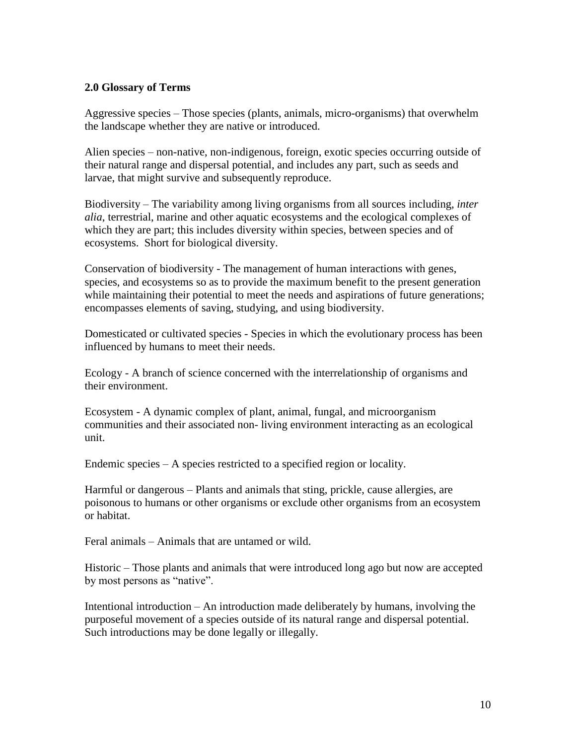#### **2.0 Glossary of Terms**

Aggressive species – Those species (plants, animals, micro-organisms) that overwhelm the landscape whether they are native or introduced.

Alien species – non-native, non-indigenous, foreign, exotic species occurring outside of their natural range and dispersal potential, and includes any part, such as seeds and larvae, that might survive and subsequently reproduce.

Biodiversity – The variability among living organisms from all sources including, *inter alia*, terrestrial, marine and other aquatic ecosystems and the ecological complexes of which they are part; this includes diversity within species, between species and of ecosystems. Short for biological diversity.

Conservation of biodiversity - The management of human interactions with genes, species, and ecosystems so as to provide the maximum benefit to the present generation while maintaining their potential to meet the needs and aspirations of future generations; encompasses elements of saving, studying, and using biodiversity.

Domesticated or cultivated species - Species in which the evolutionary process has been influenced by humans to meet their needs.

Ecology - A branch of science concerned with the interrelationship of organisms and their environment.

Ecosystem - A dynamic complex of plant, animal, fungal, and microorganism communities and their associated non- living environment interacting as an ecological unit.

Endemic species – A species restricted to a specified region or locality.

Harmful or dangerous – Plants and animals that sting, prickle, cause allergies, are poisonous to humans or other organisms or exclude other organisms from an ecosystem or habitat.

Feral animals – Animals that are untamed or wild.

Historic – Those plants and animals that were introduced long ago but now are accepted by most persons as "native".

Intentional introduction – An introduction made deliberately by humans, involving the purposeful movement of a species outside of its natural range and dispersal potential. Such introductions may be done legally or illegally.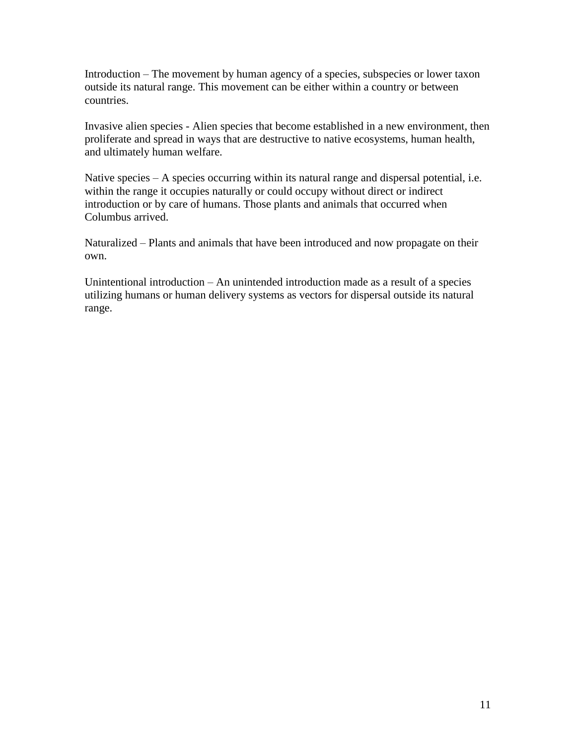Introduction – The movement by human agency of a species, subspecies or lower taxon outside its natural range. This movement can be either within a country or between countries.

Invasive alien species - Alien species that become established in a new environment, then proliferate and spread in ways that are destructive to native ecosystems, human health, and ultimately human welfare.

Native species – A species occurring within its natural range and dispersal potential, i.e. within the range it occupies naturally or could occupy without direct or indirect introduction or by care of humans. Those plants and animals that occurred when Columbus arrived.

Naturalized – Plants and animals that have been introduced and now propagate on their own.

Unintentional introduction – An unintended introduction made as a result of a species utilizing humans or human delivery systems as vectors for dispersal outside its natural range.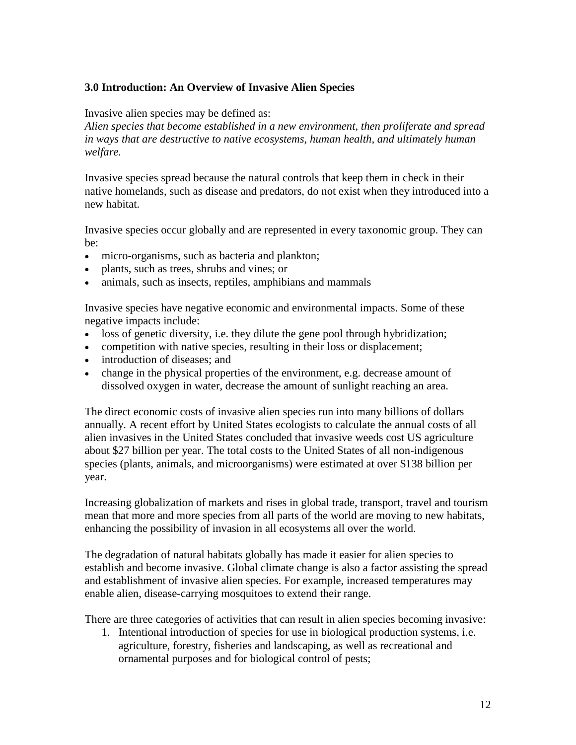### **3.0 Introduction: An Overview of Invasive Alien Species**

Invasive alien species may be defined as:

*Alien species that become established in a new environment, then proliferate and spread in ways that are destructive to native ecosystems, human health, and ultimately human welfare.*

Invasive species spread because the natural controls that keep them in check in their native homelands, such as disease and predators, do not exist when they introduced into a new habitat.

Invasive species occur globally and are represented in every taxonomic group. They can be:

- micro-organisms, such as bacteria and plankton;
- plants, such as trees, shrubs and vines; or
- animals, such as insects, reptiles, amphibians and mammals

Invasive species have negative economic and environmental impacts. Some of these negative impacts include:

- loss of genetic diversity, i.e. they dilute the gene pool through hybridization;
- competition with native species, resulting in their loss or displacement;
- introduction of diseases; and
- change in the physical properties of the environment, e.g. decrease amount of dissolved oxygen in water, decrease the amount of sunlight reaching an area.

The direct economic costs of invasive alien species run into many billions of dollars annually. A recent effort by United States ecologists to calculate the annual costs of all alien invasives in the United States concluded that invasive weeds cost US agriculture about \$27 billion per year. The total costs to the United States of all non-indigenous species (plants, animals, and microorganisms) were estimated at over \$138 billion per year.

Increasing globalization of markets and rises in global trade, transport, travel and tourism mean that more and more species from all parts of the world are moving to new habitats, enhancing the possibility of invasion in all ecosystems all over the world.

The degradation of natural habitats globally has made it easier for alien species to establish and become invasive. Global climate change is also a factor assisting the spread and establishment of invasive alien species. For example, increased temperatures may enable alien, disease-carrying mosquitoes to extend their range.

There are three categories of activities that can result in alien species becoming invasive:

1. Intentional introduction of species for use in biological production systems, i.e. agriculture, forestry, fisheries and landscaping, as well as recreational and ornamental purposes and for biological control of pests;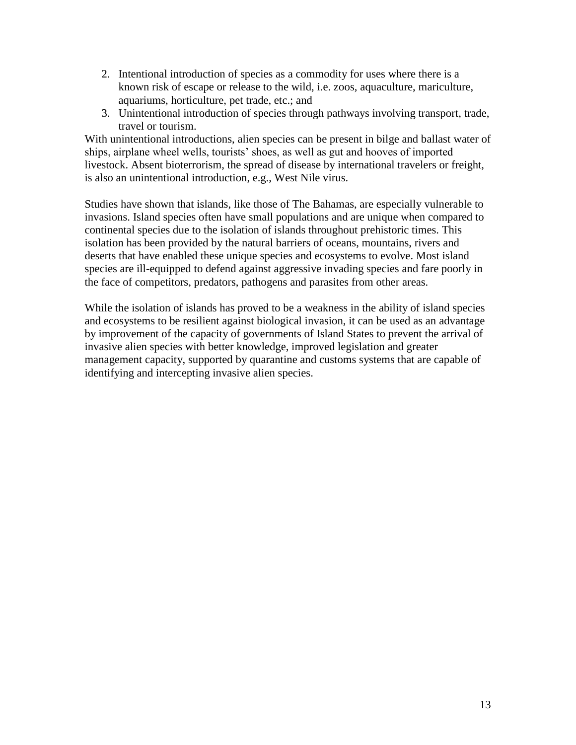- 2. Intentional introduction of species as a commodity for uses where there is a known risk of escape or release to the wild, i.e. zoos, aquaculture, mariculture, aquariums, horticulture, pet trade, etc.; and
- 3. Unintentional introduction of species through pathways involving transport, trade, travel or tourism.

With unintentional introductions, alien species can be present in bilge and ballast water of ships, airplane wheel wells, tourists' shoes, as well as gut and hooves of imported livestock. Absent bioterrorism, the spread of disease by international travelers or freight, is also an unintentional introduction, e.g., West Nile virus.

Studies have shown that islands, like those of The Bahamas, are especially vulnerable to invasions. Island species often have small populations and are unique when compared to continental species due to the isolation of islands throughout prehistoric times. This isolation has been provided by the natural barriers of oceans, mountains, rivers and deserts that have enabled these unique species and ecosystems to evolve. Most island species are ill-equipped to defend against aggressive invading species and fare poorly in the face of competitors, predators, pathogens and parasites from other areas.

While the isolation of islands has proved to be a weakness in the ability of island species and ecosystems to be resilient against biological invasion, it can be used as an advantage by improvement of the capacity of governments of Island States to prevent the arrival of invasive alien species with better knowledge, improved legislation and greater management capacity, supported by quarantine and customs systems that are capable of identifying and intercepting invasive alien species.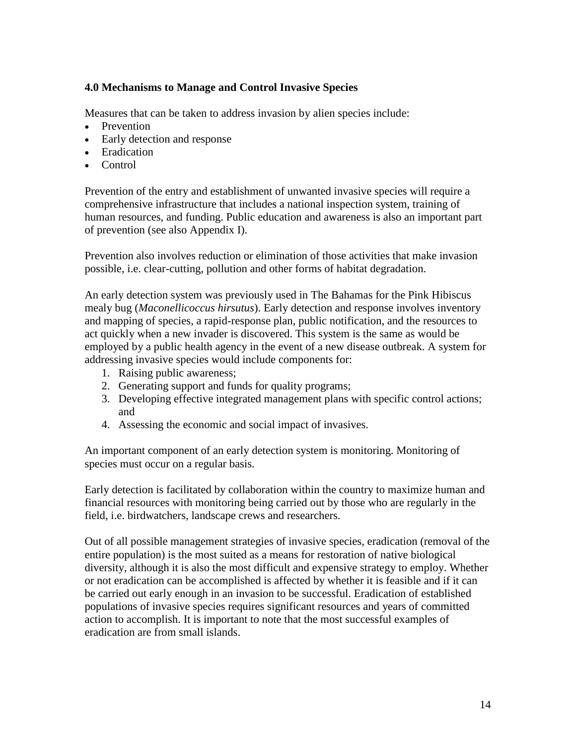#### **4.0 Mechanisms to Manage and Control Invasive Species**

Measures that can be taken to address invasion by alien species include:

- Prevention
- Early detection and response
- Eradication
- Control

Prevention of the entry and establishment of unwanted invasive species will require a comprehensive infrastructure that includes a national inspection system, training of human resources, and funding. Public education and awareness is also an important part of prevention (see also Appendix I).

Prevention also involves reduction or elimination of those activities that make invasion possible, i.e. clear-cutting, pollution and other forms of habitat degradation.

An early detection system was previously used in The Bahamas for the Pink Hibiscus mealy bug (*Maconellicoccus hirsutus*). Early detection and response involves inventory and mapping of species, a rapid-response plan, public notification, and the resources to act quickly when a new invader is discovered. This system is the same as would be employed by a public health agency in the event of a new disease outbreak. A system for addressing invasive species would include components for:

- 1. Raising public awareness;
- 2. Generating support and funds for quality programs;
- 3. Developing effective integrated management plans with specific control actions; and
- 4. Assessing the economic and social impact of invasives.

An important component of an early detection system is monitoring. Monitoring of species must occur on a regular basis.

Early detection is facilitated by collaboration within the country to maximize human and financial resources with monitoring being carried out by those who are regularly in the field, i.e. birdwatchers, landscape crews and researchers.

Out of all possible management strategies of invasive species, eradication (removal of the entire population) is the most suited as a means for restoration of native biological diversity, although it is also the most difficult and expensive strategy to employ. Whether or not eradication can be accomplished is affected by whether it is feasible and if it can be carried out early enough in an invasion to be successful. Eradication of established populations of invasive species requires significant resources and years of committed action to accomplish. It is important to note that the most successful examples of eradication are from small islands.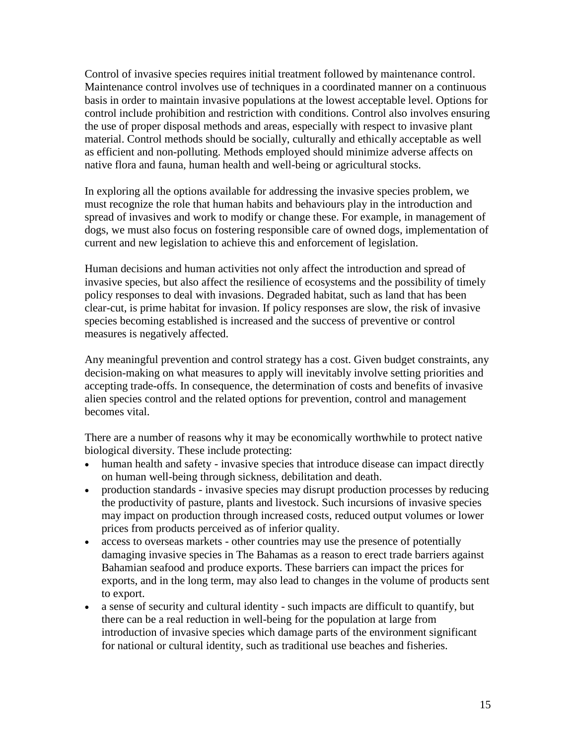Control of invasive species requires initial treatment followed by maintenance control. Maintenance control involves use of techniques in a coordinated manner on a continuous basis in order to maintain invasive populations at the lowest acceptable level. Options for control include prohibition and restriction with conditions. Control also involves ensuring the use of proper disposal methods and areas, especially with respect to invasive plant material. Control methods should be socially, culturally and ethically acceptable as well as efficient and non-polluting. Methods employed should minimize adverse affects on native flora and fauna, human health and well-being or agricultural stocks.

In exploring all the options available for addressing the invasive species problem, we must recognize the role that human habits and behaviours play in the introduction and spread of invasives and work to modify or change these. For example, in management of dogs, we must also focus on fostering responsible care of owned dogs, implementation of current and new legislation to achieve this and enforcement of legislation.

Human decisions and human activities not only affect the introduction and spread of invasive species, but also affect the resilience of ecosystems and the possibility of timely policy responses to deal with invasions. Degraded habitat, such as land that has been clear-cut, is prime habitat for invasion. If policy responses are slow, the risk of invasive species becoming established is increased and the success of preventive or control measures is negatively affected.

Any meaningful prevention and control strategy has a cost. Given budget constraints, any decision-making on what measures to apply will inevitably involve setting priorities and accepting trade-offs. In consequence, the determination of costs and benefits of invasive alien species control and the related options for prevention, control and management becomes vital.

There are a number of reasons why it may be economically worthwhile to protect native biological diversity. These include protecting:

- human health and safety invasive species that introduce disease can impact directly on human well-being through sickness, debilitation and death.
- production standards invasive species may disrupt production processes by reducing the productivity of pasture, plants and livestock. Such incursions of invasive species may impact on production through increased costs, reduced output volumes or lower prices from products perceived as of inferior quality.
- access to overseas markets other countries may use the presence of potentially damaging invasive species in The Bahamas as a reason to erect trade barriers against Bahamian seafood and produce exports. These barriers can impact the prices for exports, and in the long term, may also lead to changes in the volume of products sent to export.
- a sense of security and cultural identity such impacts are difficult to quantify, but there can be a real reduction in well-being for the population at large from introduction of invasive species which damage parts of the environment significant for national or cultural identity, such as traditional use beaches and fisheries.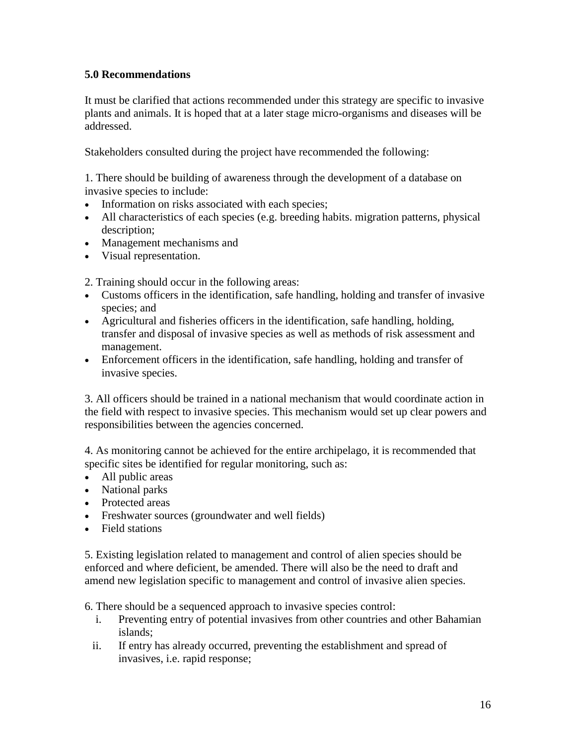# **5.0 Recommendations**

It must be clarified that actions recommended under this strategy are specific to invasive plants and animals. It is hoped that at a later stage micro-organisms and diseases will be addressed.

Stakeholders consulted during the project have recommended the following:

1. There should be building of awareness through the development of a database on invasive species to include:

- Information on risks associated with each species;
- All characteristics of each species (e.g. breeding habits. migration patterns, physical description;
- Management mechanisms and
- Visual representation.

2. Training should occur in the following areas:

- Customs officers in the identification, safe handling, holding and transfer of invasive species; and
- Agricultural and fisheries officers in the identification, safe handling, holding, transfer and disposal of invasive species as well as methods of risk assessment and management.
- Enforcement officers in the identification, safe handling, holding and transfer of invasive species.

3. All officers should be trained in a national mechanism that would coordinate action in the field with respect to invasive species. This mechanism would set up clear powers and responsibilities between the agencies concerned.

4. As monitoring cannot be achieved for the entire archipelago, it is recommended that specific sites be identified for regular monitoring, such as:

- All public areas
- National parks
- Protected areas
- Freshwater sources (groundwater and well fields)
- Field stations

5. Existing legislation related to management and control of alien species should be enforced and where deficient, be amended. There will also be the need to draft and amend new legislation specific to management and control of invasive alien species.

6. There should be a sequenced approach to invasive species control:

- i. Preventing entry of potential invasives from other countries and other Bahamian islands;
- ii. If entry has already occurred, preventing the establishment and spread of invasives, i.e. rapid response;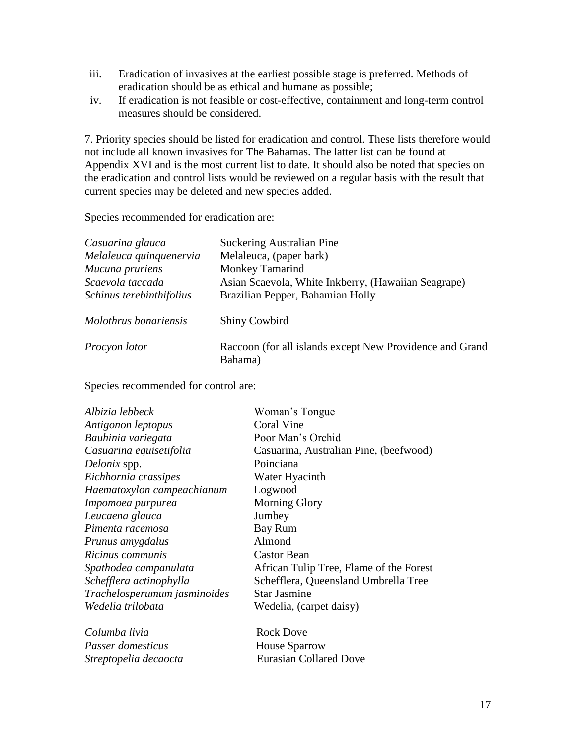- iii. Eradication of invasives at the earliest possible stage is preferred. Methods of eradication should be as ethical and humane as possible;
- iv. If eradication is not feasible or cost-effective, containment and long-term control measures should be considered.

7. Priority species should be listed for eradication and control. These lists therefore would not include all known invasives for The Bahamas. The latter list can be found at Appendix XVI and is the most current list to date. It should also be noted that species on the eradication and control lists would be reviewed on a regular basis with the result that current species may be deleted and new species added.

Species recommended for eradication are:

| Casuarina glauca         | <b>Suckering Australian Pine</b>                         |
|--------------------------|----------------------------------------------------------|
| Melaleuca quinquenervia  | Melaleuca, (paper bark)                                  |
| Mucuna pruriens          | <b>Monkey Tamarind</b>                                   |
| Scaevola taccada         | Asian Scaevola, White Inkberry, (Hawaiian Seagrape)      |
| Schinus terebinthifolius | Brazilian Pepper, Bahamian Holly                         |
| Molothrus bonariensis    | Shiny Cowbird                                            |
| Procyon lotor            | Raccoon (for all islands except New Providence and Grand |
|                          | Bahama)                                                  |

Species recommended for control are:

| Albizia lebbeck              | Woman's Tongue                          |
|------------------------------|-----------------------------------------|
| Antigonon leptopus           | Coral Vine                              |
| Bauhinia variegata           | Poor Man's Orchid                       |
| Casuarina equisetifolia      | Casuarina, Australian Pine, (beefwood)  |
| Delonix spp.                 | Poinciana                               |
| Eichhornia crassipes         | Water Hyacinth                          |
| Haematoxylon campeachianum   | Logwood                                 |
| Impomoea purpurea            | <b>Morning Glory</b>                    |
| Leucaena glauca              | Jumbey                                  |
| Pimenta racemosa             | Bay Rum                                 |
| Prunus amygdalus             | Almond                                  |
| Ricinus communis             | <b>Castor Bean</b>                      |
| Spathodea campanulata        | African Tulip Tree, Flame of the Forest |
| Schefflera actinophylla      | Schefflera, Queensland Umbrella Tree    |
| Trachelosperumum jasminoides | <b>Star Jasmine</b>                     |
| Wedelia trilobata            | Wedelia, (carpet daisy)                 |
| Columba livia                | <b>Rock Dove</b>                        |
| Passer domesticus            | <b>House Sparrow</b>                    |
| Streptopelia decaocta        | <b>Eurasian Collared Dove</b>           |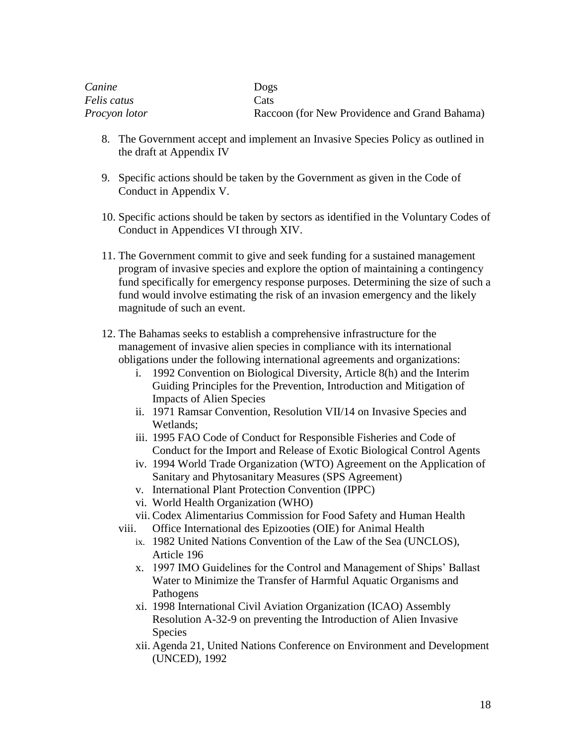| Canine        | Dogs                                          |
|---------------|-----------------------------------------------|
| Felis catus   | Cats                                          |
| Procyon lotor | Raccoon (for New Providence and Grand Bahama) |

- 8. The Government accept and implement an Invasive Species Policy as outlined in the draft at Appendix IV
- 9. Specific actions should be taken by the Government as given in the Code of Conduct in Appendix V.
- 10. Specific actions should be taken by sectors as identified in the Voluntary Codes of Conduct in Appendices VI through XIV.
- 11. The Government commit to give and seek funding for a sustained management program of invasive species and explore the option of maintaining a contingency fund specifically for emergency response purposes. Determining the size of such a fund would involve estimating the risk of an invasion emergency and the likely magnitude of such an event.
- 12. The Bahamas seeks to establish a comprehensive infrastructure for the management of invasive alien species in compliance with its international obligations under the following international agreements and organizations:
	- i. 1992 Convention on Biological Diversity, Article 8(h) and the Interim Guiding Principles for the Prevention, Introduction and Mitigation of Impacts of Alien Species
	- ii. 1971 Ramsar Convention, Resolution VII/14 on Invasive Species and Wetlands;
	- iii. 1995 FAO Code of Conduct for Responsible Fisheries and Code of Conduct for the Import and Release of Exotic Biological Control Agents
	- iv. 1994 World Trade Organization (WTO) Agreement on the Application of Sanitary and Phytosanitary Measures (SPS Agreement)
	- v. International Plant Protection Convention (IPPC)
	- vi. World Health Organization (WHO)
	- vii. Codex Alimentarius Commission for Food Safety and Human Health
	- viii. Office International des Epizooties (OIE) for Animal Health
		- ix. 1982 United Nations Convention of the Law of the Sea (UNCLOS), Article 196
		- x. 1997 IMO Guidelines for the Control and Management of Ships' Ballast Water to Minimize the Transfer of Harmful Aquatic Organisms and Pathogens
		- xi. 1998 International Civil Aviation Organization (ICAO) Assembly Resolution A-32-9 on preventing the Introduction of Alien Invasive Species
		- xii. Agenda 21, United Nations Conference on Environment and Development (UNCED), 1992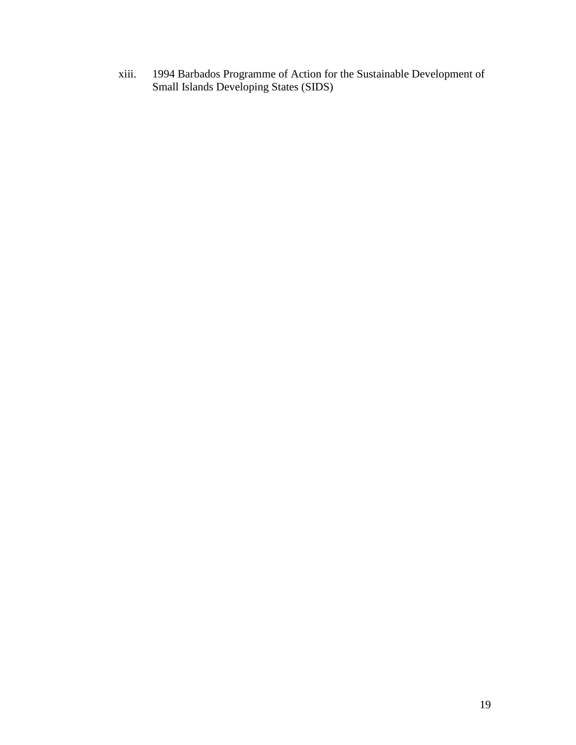xiii. 1994 Barbados Programme of Action for the Sustainable Development of Small Islands Developing States (SIDS)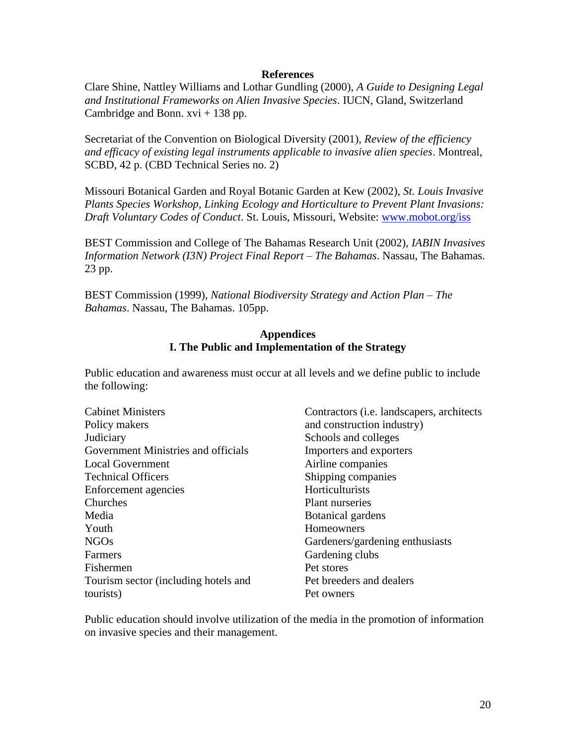#### **References**

Clare Shine, Nattley Williams and Lothar Gundling (2000), *A Guide to Designing Legal and Institutional Frameworks on Alien Invasive Species*. IUCN, Gland, Switzerland Cambridge and Bonn.  $xvi + 138$  pp.

Secretariat of the Convention on Biological Diversity (2001), *Review of the efficiency and efficacy of existing legal instruments applicable to invasive alien species*. Montreal, SCBD, 42 p. (CBD Technical Series no. 2)

Missouri Botanical Garden and Royal Botanic Garden at Kew (2002), *St. Louis Invasive Plants Species Workshop, Linking Ecology and Horticulture to Prevent Plant Invasions: Draft Voluntary Codes of Conduct*. St. Louis, Missouri, Website: [www.mobot.org/iss](http://www.mobot.org/iss)

BEST Commission and College of The Bahamas Research Unit (2002), *IABIN Invasives Information Network (I3N) Project Final Report – The Bahamas*. Nassau, The Bahamas. 23 pp.

BEST Commission (1999), *National Biodiversity Strategy and Action Plan – The Bahamas*. Nassau, The Bahamas. 105pp.

#### **Appendices I. The Public and Implementation of the Strategy**

Public education and awareness must occur at all levels and we define public to include the following:

| <b>Cabinet Ministers</b>             | Contractors ( <i>i.e.</i> landscapers, architects |
|--------------------------------------|---------------------------------------------------|
| Policy makers                        | and construction industry)                        |
| Judiciary                            | Schools and colleges                              |
| Government Ministries and officials  | Importers and exporters                           |
| <b>Local Government</b>              | Airline companies                                 |
| <b>Technical Officers</b>            | Shipping companies                                |
| Enforcement agencies                 | Horticulturists                                   |
| Churches                             | <b>Plant nurseries</b>                            |
| Media                                | <b>Botanical gardens</b>                          |
| Youth                                | Homeowners                                        |
| <b>NGOs</b>                          | Gardeners/gardening enthusiasts                   |
| Farmers                              | Gardening clubs                                   |
| Fishermen                            | Pet stores                                        |
| Tourism sector (including hotels and | Pet breeders and dealers                          |
| tourists)                            | Pet owners                                        |

Public education should involve utilization of the media in the promotion of information on invasive species and their management.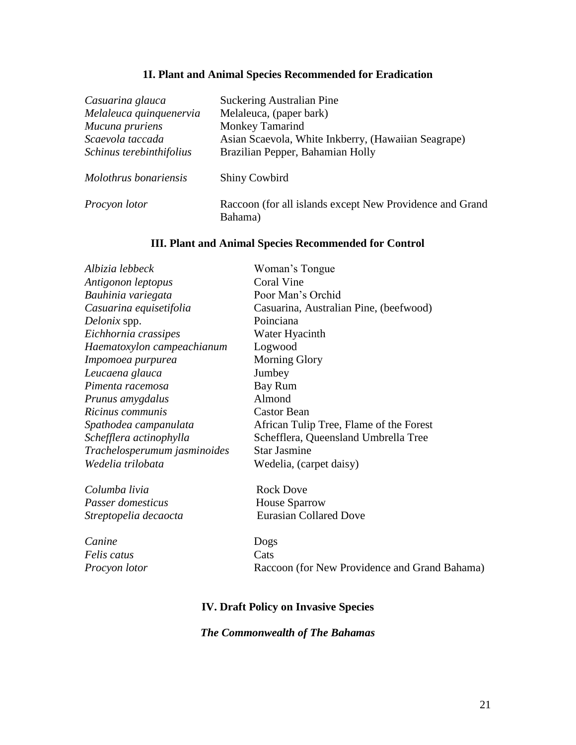# **1I. Plant and Animal Species Recommended for Eradication**

| Casuarina glauca         | <b>Suckering Australian Pine</b>                                    |
|--------------------------|---------------------------------------------------------------------|
| Melaleuca quinquenervia  | Melaleuca, (paper bark)                                             |
| Mucuna pruriens          | Monkey Tamarind                                                     |
| Scaevola taccada         | Asian Scaevola, White Inkberry, (Hawaiian Seagrape)                 |
| Schinus terebinthifolius | Brazilian Pepper, Bahamian Holly                                    |
| Molothrus bonariensis    | <b>Shiny Cowbird</b>                                                |
| Procyon lotor            | Raccoon (for all islands except New Providence and Grand<br>Bahama) |

# **III. Plant and Animal Species Recommended for Control**

| Albizia lebbeck              | Woman's Tongue                                |
|------------------------------|-----------------------------------------------|
| Antigonon leptopus           | Coral Vine                                    |
| Bauhinia variegata           | Poor Man's Orchid                             |
| Casuarina equisetifolia      | Casuarina, Australian Pine, (beefwood)        |
| Delonix spp.                 | Poinciana                                     |
| Eichhornia crassipes         | Water Hyacinth                                |
| Haematoxylon campeachianum   | Logwood                                       |
| Impomoea purpurea            | <b>Morning Glory</b>                          |
| Leucaena glauca              | Jumbey                                        |
| Pimenta racemosa             | Bay Rum                                       |
| Prunus amygdalus             | Almond                                        |
| Ricinus communis             | <b>Castor Bean</b>                            |
| Spathodea campanulata        | African Tulip Tree, Flame of the Forest       |
| Schefflera actinophylla      | Schefflera, Queensland Umbrella Tree          |
| Trachelosperumum jasminoides | <b>Star Jasmine</b>                           |
| Wedelia trilobata            | Wedelia, (carpet daisy)                       |
| Columba livia                | <b>Rock Dove</b>                              |
| Passer domesticus            | <b>House Sparrow</b>                          |
| Streptopelia decaocta        | <b>Eurasian Collared Dove</b>                 |
| Canine                       | Dogs                                          |
| Felis catus                  | Cats                                          |
| Procyon lotor                | Raccoon (for New Providence and Grand Bahama) |
|                              |                                               |

# **IV. Draft Policy on Invasive Species**

# *The Commonwealth of The Bahamas*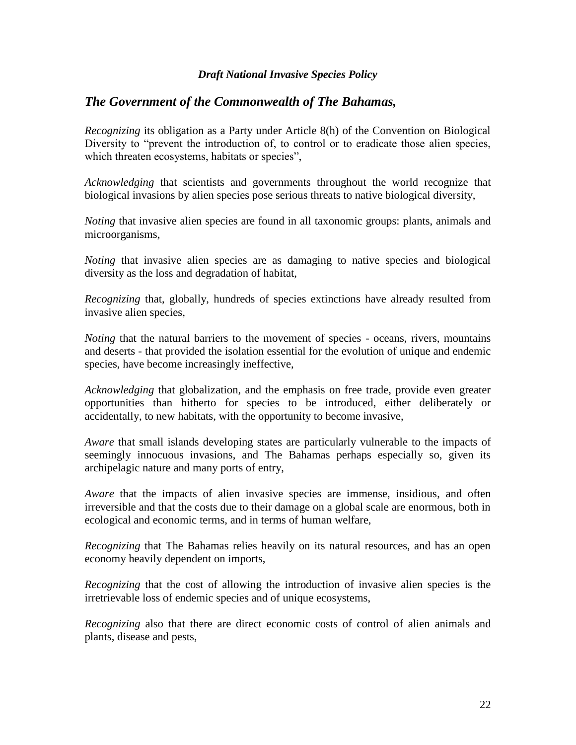#### *Draft National Invasive Species Policy*

## *The Government of the Commonwealth of The Bahamas,*

*Recognizing* its obligation as a Party under Article 8(h) of the Convention on Biological Diversity to "prevent the introduction of, to control or to eradicate those alien species, which threaten ecosystems, habitats or species",

*Acknowledging* that scientists and governments throughout the world recognize that biological invasions by alien species pose serious threats to native biological diversity,

*Noting* that invasive alien species are found in all taxonomic groups: plants, animals and microorganisms,

*Noting* that invasive alien species are as damaging to native species and biological diversity as the loss and degradation of habitat,

*Recognizing* that, globally, hundreds of species extinctions have already resulted from invasive alien species,

*Noting* that the natural barriers to the movement of species - oceans, rivers, mountains and deserts - that provided the isolation essential for the evolution of unique and endemic species, have become increasingly ineffective,

*Acknowledging* that globalization, and the emphasis on free trade, provide even greater opportunities than hitherto for species to be introduced, either deliberately or accidentally, to new habitats, with the opportunity to become invasive,

*Aware* that small islands developing states are particularly vulnerable to the impacts of seemingly innocuous invasions, and The Bahamas perhaps especially so, given its archipelagic nature and many ports of entry,

*Aware* that the impacts of alien invasive species are immense, insidious, and often irreversible and that the costs due to their damage on a global scale are enormous, both in ecological and economic terms, and in terms of human welfare,

*Recognizing* that The Bahamas relies heavily on its natural resources, and has an open economy heavily dependent on imports,

*Recognizing* that the cost of allowing the introduction of invasive alien species is the irretrievable loss of endemic species and of unique ecosystems,

*Recognizing* also that there are direct economic costs of control of alien animals and plants, disease and pests,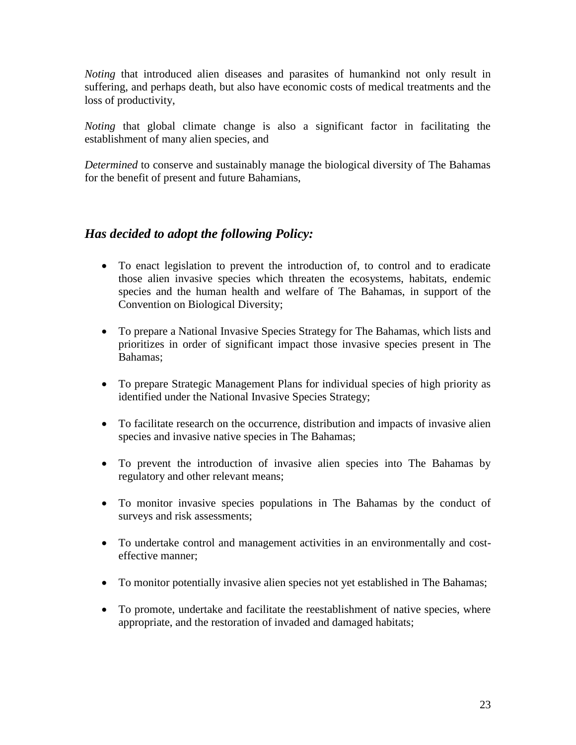*Noting* that introduced alien diseases and parasites of humankind not only result in suffering, and perhaps death, but also have economic costs of medical treatments and the loss of productivity,

*Noting* that global climate change is also a significant factor in facilitating the establishment of many alien species, and

*Determined* to conserve and sustainably manage the biological diversity of The Bahamas for the benefit of present and future Bahamians,

# *Has decided to adopt the following Policy:*

- To enact legislation to prevent the introduction of, to control and to eradicate those alien invasive species which threaten the ecosystems, habitats, endemic species and the human health and welfare of The Bahamas, in support of the Convention on Biological Diversity;
- To prepare a National Invasive Species Strategy for The Bahamas, which lists and prioritizes in order of significant impact those invasive species present in The Bahamas;
- To prepare Strategic Management Plans for individual species of high priority as identified under the National Invasive Species Strategy;
- To facilitate research on the occurrence, distribution and impacts of invasive alien species and invasive native species in The Bahamas;
- To prevent the introduction of invasive alien species into The Bahamas by regulatory and other relevant means;
- To monitor invasive species populations in The Bahamas by the conduct of surveys and risk assessments;
- To undertake control and management activities in an environmentally and costeffective manner;
- To monitor potentially invasive alien species not yet established in The Bahamas;
- To promote, undertake and facilitate the reestablishment of native species, where appropriate, and the restoration of invaded and damaged habitats;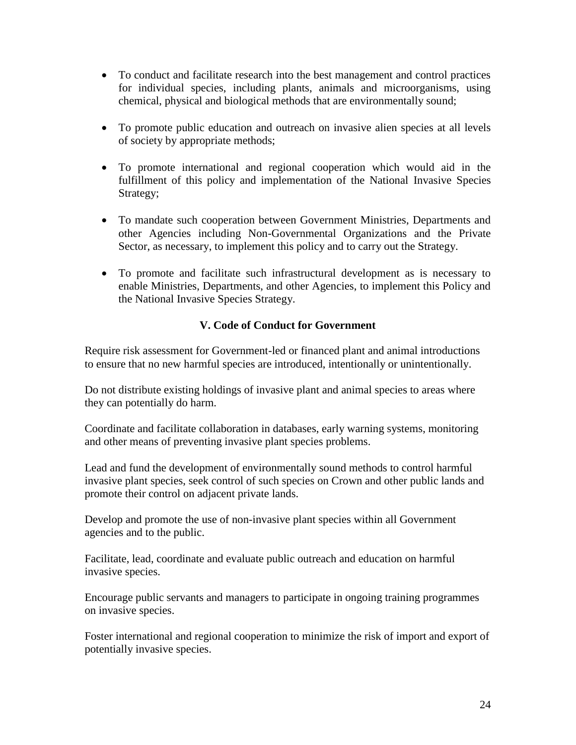- To conduct and facilitate research into the best management and control practices for individual species, including plants, animals and microorganisms, using chemical, physical and biological methods that are environmentally sound;
- To promote public education and outreach on invasive alien species at all levels of society by appropriate methods;
- To promote international and regional cooperation which would aid in the fulfillment of this policy and implementation of the National Invasive Species Strategy;
- To mandate such cooperation between Government Ministries, Departments and other Agencies including Non-Governmental Organizations and the Private Sector, as necessary, to implement this policy and to carry out the Strategy.
- To promote and facilitate such infrastructural development as is necessary to enable Ministries, Departments, and other Agencies, to implement this Policy and the National Invasive Species Strategy.

## **V. Code of Conduct for Government**

Require risk assessment for Government-led or financed plant and animal introductions to ensure that no new harmful species are introduced, intentionally or unintentionally.

Do not distribute existing holdings of invasive plant and animal species to areas where they can potentially do harm.

Coordinate and facilitate collaboration in databases, early warning systems, monitoring and other means of preventing invasive plant species problems.

Lead and fund the development of environmentally sound methods to control harmful invasive plant species, seek control of such species on Crown and other public lands and promote their control on adjacent private lands.

Develop and promote the use of non-invasive plant species within all Government agencies and to the public.

Facilitate, lead, coordinate and evaluate public outreach and education on harmful invasive species.

Encourage public servants and managers to participate in ongoing training programmes on invasive species.

Foster international and regional cooperation to minimize the risk of import and export of potentially invasive species.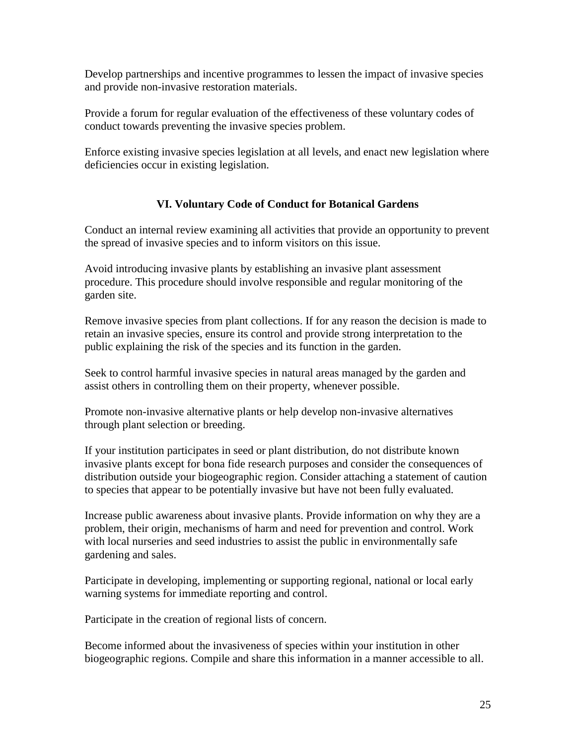Develop partnerships and incentive programmes to lessen the impact of invasive species and provide non-invasive restoration materials.

Provide a forum for regular evaluation of the effectiveness of these voluntary codes of conduct towards preventing the invasive species problem.

Enforce existing invasive species legislation at all levels, and enact new legislation where deficiencies occur in existing legislation.

# **VI. Voluntary Code of Conduct for Botanical Gardens**

Conduct an internal review examining all activities that provide an opportunity to prevent the spread of invasive species and to inform visitors on this issue.

Avoid introducing invasive plants by establishing an invasive plant assessment procedure. This procedure should involve responsible and regular monitoring of the garden site.

Remove invasive species from plant collections. If for any reason the decision is made to retain an invasive species, ensure its control and provide strong interpretation to the public explaining the risk of the species and its function in the garden.

Seek to control harmful invasive species in natural areas managed by the garden and assist others in controlling them on their property, whenever possible.

Promote non-invasive alternative plants or help develop non-invasive alternatives through plant selection or breeding.

If your institution participates in seed or plant distribution, do not distribute known invasive plants except for bona fide research purposes and consider the consequences of distribution outside your biogeographic region. Consider attaching a statement of caution to species that appear to be potentially invasive but have not been fully evaluated.

Increase public awareness about invasive plants. Provide information on why they are a problem, their origin, mechanisms of harm and need for prevention and control. Work with local nurseries and seed industries to assist the public in environmentally safe gardening and sales.

Participate in developing, implementing or supporting regional, national or local early warning systems for immediate reporting and control.

Participate in the creation of regional lists of concern.

Become informed about the invasiveness of species within your institution in other biogeographic regions. Compile and share this information in a manner accessible to all.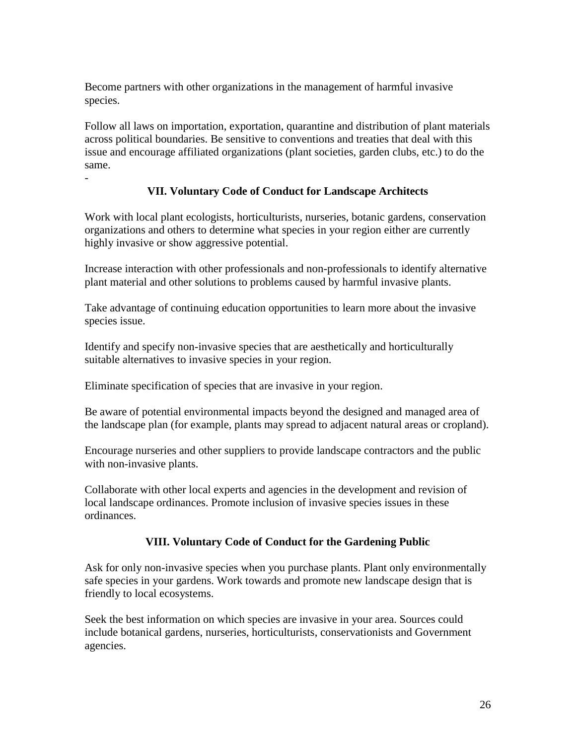Become partners with other organizations in the management of harmful invasive species.

Follow all laws on importation, exportation, quarantine and distribution of plant materials across political boundaries. Be sensitive to conventions and treaties that deal with this issue and encourage affiliated organizations (plant societies, garden clubs, etc.) to do the same.

### **VII. Voluntary Code of Conduct for Landscape Architects**

Work with local plant ecologists, horticulturists, nurseries, botanic gardens, conservation organizations and others to determine what species in your region either are currently highly invasive or show aggressive potential.

Increase interaction with other professionals and non-professionals to identify alternative plant material and other solutions to problems caused by harmful invasive plants.

Take advantage of continuing education opportunities to learn more about the invasive species issue.

Identify and specify non-invasive species that are aesthetically and horticulturally suitable alternatives to invasive species in your region.

Eliminate specification of species that are invasive in your region.

-

Be aware of potential environmental impacts beyond the designed and managed area of the landscape plan (for example, plants may spread to adjacent natural areas or cropland).

Encourage nurseries and other suppliers to provide landscape contractors and the public with non-invasive plants.

Collaborate with other local experts and agencies in the development and revision of local landscape ordinances. Promote inclusion of invasive species issues in these ordinances.

### **VIII. Voluntary Code of Conduct for the Gardening Public**

Ask for only non-invasive species when you purchase plants. Plant only environmentally safe species in your gardens. Work towards and promote new landscape design that is friendly to local ecosystems.

Seek the best information on which species are invasive in your area. Sources could include botanical gardens, nurseries, horticulturists, conservationists and Government agencies.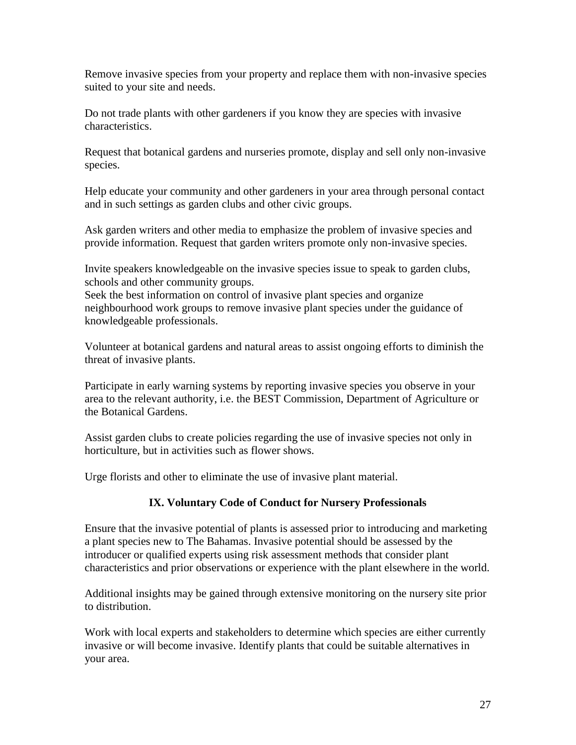Remove invasive species from your property and replace them with non-invasive species suited to your site and needs.

Do not trade plants with other gardeners if you know they are species with invasive characteristics.

Request that botanical gardens and nurseries promote, display and sell only non-invasive species.

Help educate your community and other gardeners in your area through personal contact and in such settings as garden clubs and other civic groups.

Ask garden writers and other media to emphasize the problem of invasive species and provide information. Request that garden writers promote only non-invasive species.

Invite speakers knowledgeable on the invasive species issue to speak to garden clubs, schools and other community groups.

Seek the best information on control of invasive plant species and organize neighbourhood work groups to remove invasive plant species under the guidance of knowledgeable professionals.

Volunteer at botanical gardens and natural areas to assist ongoing efforts to diminish the threat of invasive plants.

Participate in early warning systems by reporting invasive species you observe in your area to the relevant authority, i.e. the BEST Commission, Department of Agriculture or the Botanical Gardens.

Assist garden clubs to create policies regarding the use of invasive species not only in horticulture, but in activities such as flower shows.

Urge florists and other to eliminate the use of invasive plant material.

### **IX. Voluntary Code of Conduct for Nursery Professionals**

Ensure that the invasive potential of plants is assessed prior to introducing and marketing a plant species new to The Bahamas. Invasive potential should be assessed by the introducer or qualified experts using risk assessment methods that consider plant characteristics and prior observations or experience with the plant elsewhere in the world.

Additional insights may be gained through extensive monitoring on the nursery site prior to distribution.

Work with local experts and stakeholders to determine which species are either currently invasive or will become invasive. Identify plants that could be suitable alternatives in your area.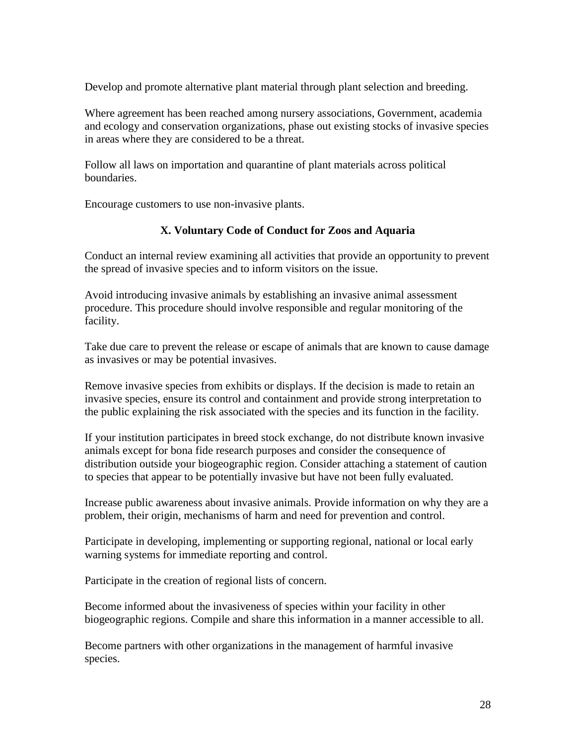Develop and promote alternative plant material through plant selection and breeding.

Where agreement has been reached among nursery associations, Government, academia and ecology and conservation organizations, phase out existing stocks of invasive species in areas where they are considered to be a threat.

Follow all laws on importation and quarantine of plant materials across political boundaries.

Encourage customers to use non-invasive plants.

### **X. Voluntary Code of Conduct for Zoos and Aquaria**

Conduct an internal review examining all activities that provide an opportunity to prevent the spread of invasive species and to inform visitors on the issue.

Avoid introducing invasive animals by establishing an invasive animal assessment procedure. This procedure should involve responsible and regular monitoring of the facility.

Take due care to prevent the release or escape of animals that are known to cause damage as invasives or may be potential invasives.

Remove invasive species from exhibits or displays. If the decision is made to retain an invasive species, ensure its control and containment and provide strong interpretation to the public explaining the risk associated with the species and its function in the facility.

If your institution participates in breed stock exchange, do not distribute known invasive animals except for bona fide research purposes and consider the consequence of distribution outside your biogeographic region. Consider attaching a statement of caution to species that appear to be potentially invasive but have not been fully evaluated.

Increase public awareness about invasive animals. Provide information on why they are a problem, their origin, mechanisms of harm and need for prevention and control.

Participate in developing, implementing or supporting regional, national or local early warning systems for immediate reporting and control.

Participate in the creation of regional lists of concern.

Become informed about the invasiveness of species within your facility in other biogeographic regions. Compile and share this information in a manner accessible to all.

Become partners with other organizations in the management of harmful invasive species.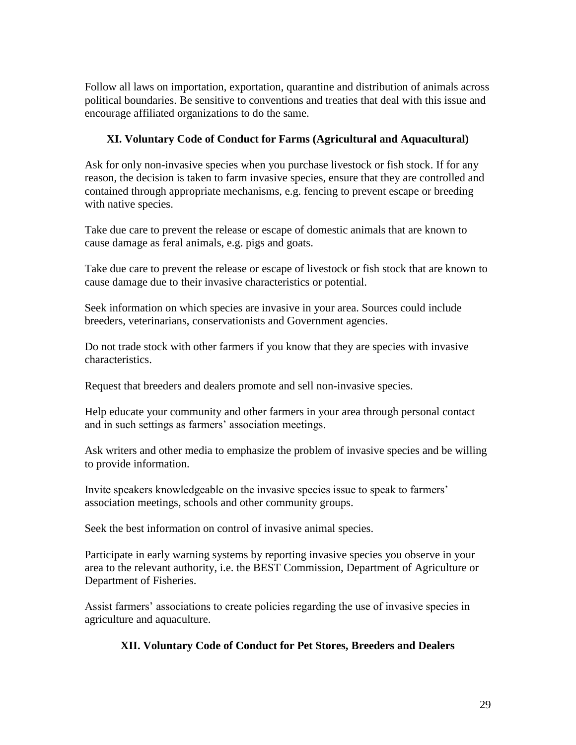Follow all laws on importation, exportation, quarantine and distribution of animals across political boundaries. Be sensitive to conventions and treaties that deal with this issue and encourage affiliated organizations to do the same.

## **XI. Voluntary Code of Conduct for Farms (Agricultural and Aquacultural)**

Ask for only non-invasive species when you purchase livestock or fish stock. If for any reason, the decision is taken to farm invasive species, ensure that they are controlled and contained through appropriate mechanisms, e.g. fencing to prevent escape or breeding with native species.

Take due care to prevent the release or escape of domestic animals that are known to cause damage as feral animals, e.g. pigs and goats.

Take due care to prevent the release or escape of livestock or fish stock that are known to cause damage due to their invasive characteristics or potential.

Seek information on which species are invasive in your area. Sources could include breeders, veterinarians, conservationists and Government agencies.

Do not trade stock with other farmers if you know that they are species with invasive characteristics.

Request that breeders and dealers promote and sell non-invasive species.

Help educate your community and other farmers in your area through personal contact and in such settings as farmers' association meetings.

Ask writers and other media to emphasize the problem of invasive species and be willing to provide information.

Invite speakers knowledgeable on the invasive species issue to speak to farmers' association meetings, schools and other community groups.

Seek the best information on control of invasive animal species.

Participate in early warning systems by reporting invasive species you observe in your area to the relevant authority, i.e. the BEST Commission, Department of Agriculture or Department of Fisheries.

Assist farmers' associations to create policies regarding the use of invasive species in agriculture and aquaculture.

### **XII. Voluntary Code of Conduct for Pet Stores, Breeders and Dealers**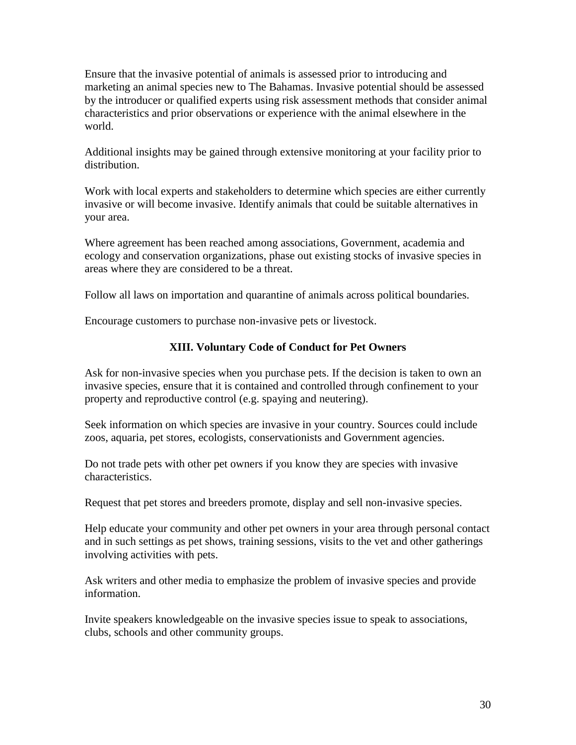Ensure that the invasive potential of animals is assessed prior to introducing and marketing an animal species new to The Bahamas. Invasive potential should be assessed by the introducer or qualified experts using risk assessment methods that consider animal characteristics and prior observations or experience with the animal elsewhere in the world.

Additional insights may be gained through extensive monitoring at your facility prior to distribution.

Work with local experts and stakeholders to determine which species are either currently invasive or will become invasive. Identify animals that could be suitable alternatives in your area.

Where agreement has been reached among associations, Government, academia and ecology and conservation organizations, phase out existing stocks of invasive species in areas where they are considered to be a threat.

Follow all laws on importation and quarantine of animals across political boundaries.

Encourage customers to purchase non-invasive pets or livestock.

### **XIII. Voluntary Code of Conduct for Pet Owners**

Ask for non-invasive species when you purchase pets. If the decision is taken to own an invasive species, ensure that it is contained and controlled through confinement to your property and reproductive control (e.g. spaying and neutering).

Seek information on which species are invasive in your country. Sources could include zoos, aquaria, pet stores, ecologists, conservationists and Government agencies.

Do not trade pets with other pet owners if you know they are species with invasive characteristics.

Request that pet stores and breeders promote, display and sell non-invasive species.

Help educate your community and other pet owners in your area through personal contact and in such settings as pet shows, training sessions, visits to the vet and other gatherings involving activities with pets.

Ask writers and other media to emphasize the problem of invasive species and provide information.

Invite speakers knowledgeable on the invasive species issue to speak to associations, clubs, schools and other community groups.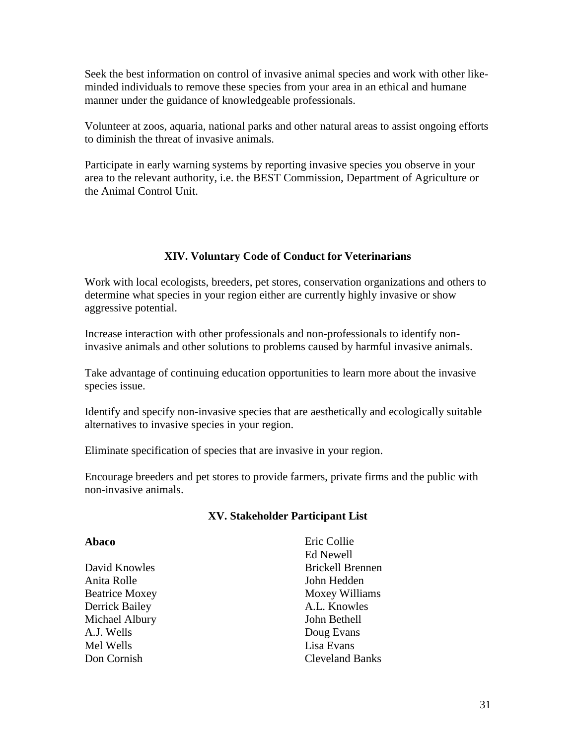Seek the best information on control of invasive animal species and work with other likeminded individuals to remove these species from your area in an ethical and humane manner under the guidance of knowledgeable professionals.

Volunteer at zoos, aquaria, national parks and other natural areas to assist ongoing efforts to diminish the threat of invasive animals.

Participate in early warning systems by reporting invasive species you observe in your area to the relevant authority, i.e. the BEST Commission, Department of Agriculture or the Animal Control Unit.

### **XIV. Voluntary Code of Conduct for Veterinarians**

Work with local ecologists, breeders, pet stores, conservation organizations and others to determine what species in your region either are currently highly invasive or show aggressive potential.

Increase interaction with other professionals and non-professionals to identify noninvasive animals and other solutions to problems caused by harmful invasive animals.

Take advantage of continuing education opportunities to learn more about the invasive species issue.

Identify and specify non-invasive species that are aesthetically and ecologically suitable alternatives to invasive species in your region.

Eliminate specification of species that are invasive in your region.

Encourage breeders and pet stores to provide farmers, private firms and the public with non-invasive animals.

### **XV. Stakeholder Participant List**

| Eric Collie             |
|-------------------------|
| Ed Newell               |
| <b>Brickell Brennen</b> |
| John Hedden             |
| Moxey Williams          |
| A.L. Knowles            |
| John Bethell            |
| Doug Evans              |
| Lisa Evans              |
| <b>Cleveland Banks</b>  |
|                         |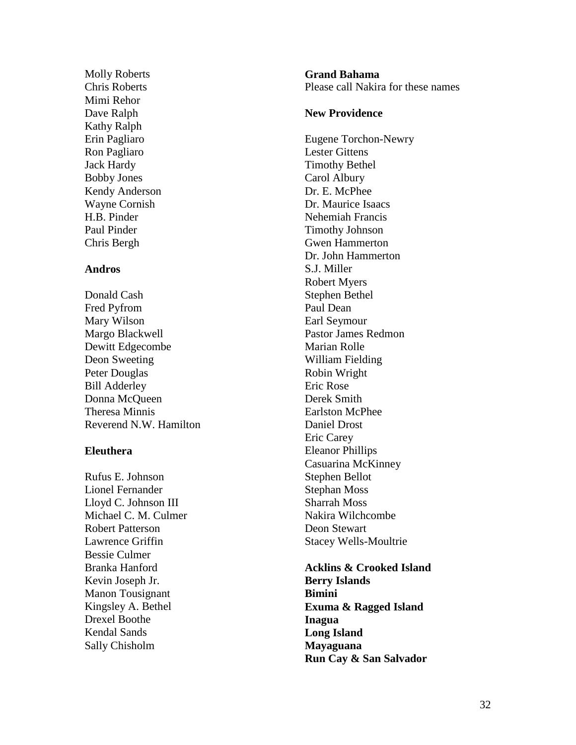Molly Roberts Chris Roberts Mimi Rehor Dave Ralph Kathy Ralph Erin Pagliaro Ron Pagliaro Jack Hardy Bobby Jones Kendy Anderson Wayne Cornish H.B. Pinder Paul Pinder Chris Bergh

#### **Andros**

Donald Cash Fred Pyfrom Mary Wilson Margo Blackwell Dewitt Edgecombe Deon Sweeting Peter Douglas Bill Adderley Donna McQueen Theresa Minnis Reverend N.W. Hamilton

#### **Eleuthera**

Rufus E. Johnson Lionel Fernander Lloyd C. Johnson III Michael C. M. Culmer Robert Patterson Lawrence Griffin Bessie Culmer Branka Hanford Kevin Joseph Jr. Manon Tousignant Kingsley A. Bethel Drexel Boothe Kendal Sands Sally Chisholm

**Grand Bahama** Please call Nakira for these names

#### **New Providence**

Eugene Torchon -Newry Lester Gittens Timothy Bethel Carol Albury Dr. E. McPhee Dr. Maurice Isaacs Nehemiah Francis Timothy Johnson Gwen Hammerton Dr. John Hammerton S.J. Miller Robert Myers Stephen Bethel Paul Dean Earl Seymour Pastor James Redmon Marian Rolle William Fielding Robin Wright Eric Rose Derek Smith Earlston McPhee Daniel Drost Eric Carey Eleanor Phillips Casuarina McKinney Stephen Bellot Stephan Moss Sharrah Moss Nakira Wilchcombe Deon Stewart Stacey Wells -Moultrie

**Acklins & Crooked Island Berry Islands Bimini Exuma & Ragged Island Inagua Long Island Mayaguana Run Cay & San Salvador**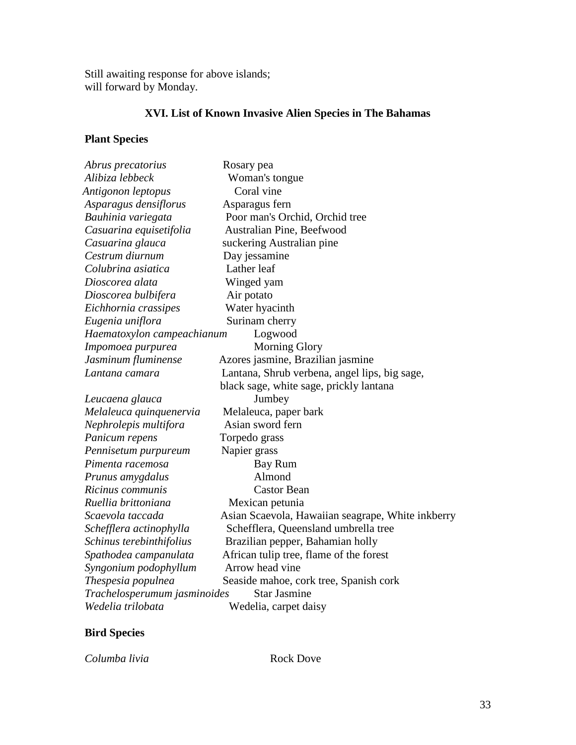Still awaiting response for above islands; will forward by Monday.

# **XVI. List of Known Invasive Alien Species in The Bahamas**

# **Plant Species**

| Abrus precatorius                                   | Rosary pea                                        |
|-----------------------------------------------------|---------------------------------------------------|
| Alibiza lebbeck                                     | Woman's tongue                                    |
| Antigonon leptopus                                  | Coral vine                                        |
| Asparagus densiflorus                               | Asparagus fern                                    |
| Bauhinia variegata                                  | Poor man's Orchid, Orchid tree                    |
| Casuarina equisetifolia                             | Australian Pine, Beefwood                         |
| Casuarina glauca                                    | suckering Australian pine                         |
| Cestrum diurnum                                     | Day jessamine                                     |
| Colubrina asiatica                                  | Lather leaf                                       |
| Dioscorea alata                                     | Winged yam                                        |
| Dioscorea bulbifera                                 | Air potato                                        |
| Eichhornia crassipes                                | Water hyacinth                                    |
| Eugenia uniflora                                    | Surinam cherry                                    |
| Haematoxylon campeachianum                          | Logwood                                           |
| Impomoea purpurea                                   | <b>Morning Glory</b>                              |
| Jasminum fluminense                                 | Azores jasmine, Brazilian jasmine                 |
| Lantana camara                                      | Lantana, Shrub verbena, angel lips, big sage,     |
|                                                     | black sage, white sage, prickly lantana           |
| Leucaena glauca                                     | Jumbey                                            |
| Melaleuca quinquenervia                             | Melaleuca, paper bark                             |
| Nephrolepis multifora                               | Asian sword fern                                  |
| Panicum repens                                      | Torpedo grass                                     |
| Pennisetum purpureum                                | Napier grass                                      |
| Pimenta racemosa                                    | Bay Rum                                           |
| Prunus amygdalus                                    | Almond                                            |
| Ricinus communis                                    | <b>Castor Bean</b>                                |
| Ruellia brittoniana                                 | Mexican petunia                                   |
| Scaevola taccada                                    | Asian Scaevola, Hawaiian seagrape, White inkberry |
| Schefflera actinophylla                             | Schefflera, Queensland umbrella tree              |
| Schinus terebinthifolius                            | Brazilian pepper, Bahamian holly                  |
| Spathodea campanulata                               | African tulip tree, flame of the forest           |
| Syngonium podophyllum                               | Arrow head vine                                   |
| Thespesia populnea                                  | Seaside mahoe, cork tree, Spanish cork            |
| Trachelosperumum jasminoides<br><b>Star Jasmine</b> |                                                   |
| Wedelia trilobata                                   | Wedelia, carpet daisy                             |

# **Bird Species**

*Columba livia* Rock Dove